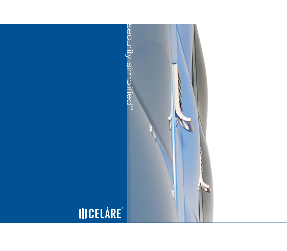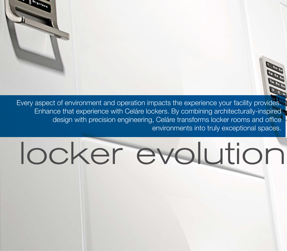



Every aspect of environment and operation impacts the experience your facility provides. Enhance that experience with Celáre lockers. By combining architecturally-inspired design with precision engineering, Celáre transforms locker rooms and office environments into truly exceptional spaces.

## locker evolution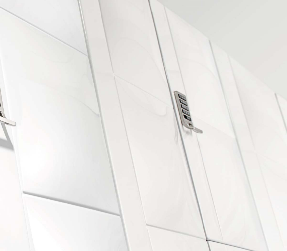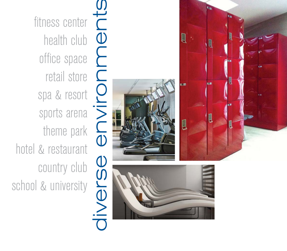



diverse

sports arena fitness center retail store health club theme park office space school & university country club spa & resort hotel & restaurant diverse environment

(J)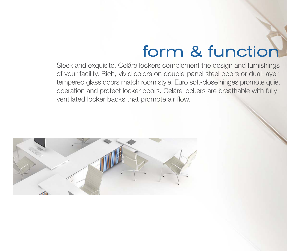## form & function

Sleek and exquisite, Celáre lockers complement the design and furnishings of your facility. Rich, vivid colors on double-panel steel doors or dual-layer tempered glass doors match room style. Euro soft-close hinges promote quiet operation and protect locker doors. Celáre lockers are breathable with fullyventilated locker backs that promote air flow.

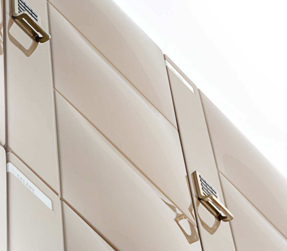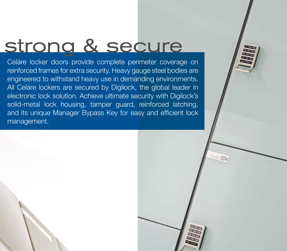## strong & secure

Celáre locker doors provide complete perimeter coverage on reinforced frames for extra security. Heavy gauge steel bodies are engineered to withstand heavy use in demanding environments. All Celáre lockers are secured by Digilock, the global leader in electronic lock solution. Achieve ultimate security with Digilock's solid-metal lock housing, tamper guard, reinforced latching, and its unique Manager Bypass Key for easy and efficient lock management.

CELARE 004